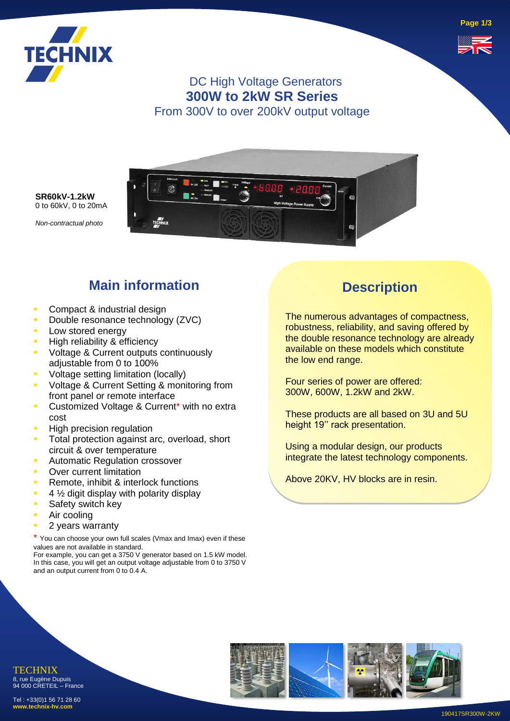

**Page 1/3**



### DC High Voltage Generators **300W to 2kW SR Series** From 300V to over 200kV output voltage



**SR60kV-1.2kW** 0 to 60kV, 0 to 20mA

*Non-contractual photo*

# **Main information**

- **Compact & industrial design**
- **Double resonance technology (ZVC)**
- **Low stored energy**
- High reliability & efficiency
- Voltage & Current outputs continuously adjustable from 0 to 100%
- **•** Voltage setting limitation (locally)
- Voltage & Current Setting & monitoring from front panel or remote interface
- Customized Voltage & Current\* with no extra cost
- **High precision regulation**
- **Total protection against arc, overload, short** circuit & over temperature
- **E** Automatic Regulation crossover
- Over current limitation
- Remote, inhibit & interlock functions
- $\blacksquare$  4  $\frac{1}{2}$  digit display with polarity display
- **B** Safety switch key
- Air cooling
- **2 years warranty**

\* You can choose your own full scales (Vmax and Imax) even if these values are not available in standard.

For example, you can get a 3750 V generator based on 1.5 kW model. In this case, you will get an output voltage adjustable from 0 to 3750 V and an output current from 0 to 0.4 A.

## **Description**

The numerous advantages of compactness, robustness, reliability, and saving offered by the double resonance technology are already available on these models which constitute the low end range.

Four series of power are offered: 300W, 600W, 1.2kW and 2kW.

These products are all based on 3U and 5U height 19'' rack presentation.

Using a modular design, our products integrate the latest technology components.

Above 20KV, HV blocks are in resin.



TECHNIX 8, rue Eugène Dupuis 94 000 CRETEIL – France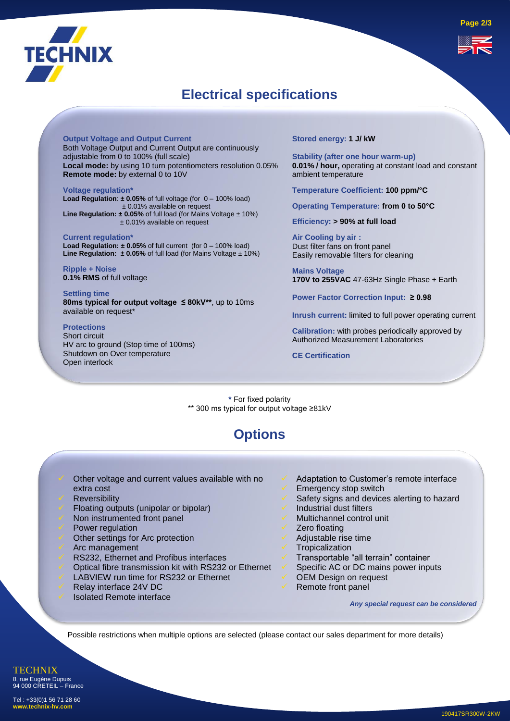

### **Electrical specifications**

**Output Voltage and Output Current** Both Voltage Output and Current Output are continuously adjustable from 0 to 100% (full scale) **Local mode:** by using 10 turn potentiometers resolution 0.05% **Remote mode:** by external 0 to 10V

**Voltage regulation\* Load Regulation**: **± 0.05%** of full voltage (for 0 – 100% load) ± 0.01% available on request **Line Regulation: ± 0.05%** of full load (for Mains Voltage ± 10%) ± 0.01% available on request

**Current regulation\* Load Regulation: ± 0.05%** of full current (for 0 – 100% load) **Line Regulation:**  $\pm 0.05\%$  of full load (for Mains Voltage  $\pm 10\%$ )

**Ripple + Noise 0.1% RMS** of full voltage

**Settling time 80ms typical for output voltage ≤ 80kV\*\***, up to 10ms available on request\*

#### **Protections**

Short circuit HV arc to ground (Stop time of 100ms) Shutdown on Over temperature Open interlock

**Stored energy: 1 J/ kW**

**Stability (after one hour warm-up) 0.01% / hour,** operating at constant load and constant ambient temperature

**Temperature Coefficient: 100 ppm/°C**

**Operating Temperature: from 0 to 50°C**

**Efficiency: > 90% at full load** 

**Air Cooling by air :** Dust filter fans on front panel Easily removable filters for cleaning

**Mains Voltage 170V to 255VAC** 47-63Hz Single Phase + Earth

**Power Factor Correction Input: ≥ 0.98**

**Inrush current:** limited to full power operating current

**Calibration:** with probes periodically approved by Authorized Measurement Laboratories

**CE Certification**

**\*** For fixed polarity \*\* 300 ms typical for output voltage ≥81kV

### **Options**

Other voltage and current values available with no

- extra cost
- **Reversibility**
- Floating outputs (unipolar or bipolar)
- Non instrumented front panel
- Power regulation
- Other settings for Arc protection
- Arc management
- RS232, Ethernet and Profibus interfaces
- Optical fibre transmission kit with RS232 or Ethernet
- LABVIEW run time for RS232 or Ethernet
- Relay interface 24V DC
- ✓ Isolated Remote interface
- Adaptation to Customer's remote interface
- Emergency stop switch
- Safety signs and devices alerting to hazard
- Industrial dust filters
- Multichannel control unit
- Zero floating
- Adjustable rise time
- **Tropicalization**
- ✓ Transportable "all terrain" container
- Specific AC or DC mains power inputs
- OEM Design on request
- Remote front panel

*Any special request can be considered* 

Possible restrictions when multiple options are selected (please contact our sales department for more details)

**TECHNIX** 8, rue Eugène Dupuis 94 000 CRETEIL – France